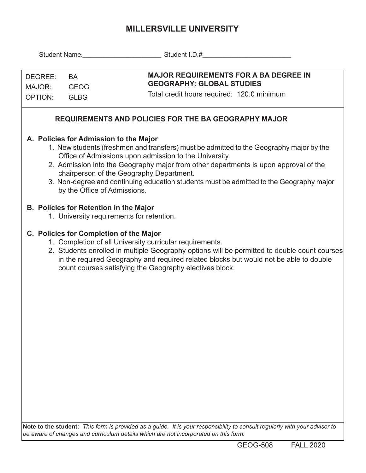## **MILLERSVILLE UNIVERSITY**

| DEGREE:<br>MAJOR:<br><b>OPTION:</b>                                                                                                                                                                                                                                                                                                                     | <b>BA</b><br><b>GEOG</b><br><b>GLBG</b>                                | <b>MAJOR REQUIREMENTS FOR A BA DEGREE IN</b><br><b>GEOGRAPHY: GLOBAL STUDIES</b><br>Total credit hours required: 120.0 minimum                                                                                                                                                                                                                                                   |  |  |  |  |  |  |
|---------------------------------------------------------------------------------------------------------------------------------------------------------------------------------------------------------------------------------------------------------------------------------------------------------------------------------------------------------|------------------------------------------------------------------------|----------------------------------------------------------------------------------------------------------------------------------------------------------------------------------------------------------------------------------------------------------------------------------------------------------------------------------------------------------------------------------|--|--|--|--|--|--|
| <b>REQUIREMENTS AND POLICIES FOR THE BA GEOGRAPHY MAJOR</b>                                                                                                                                                                                                                                                                                             |                                                                        |                                                                                                                                                                                                                                                                                                                                                                                  |  |  |  |  |  |  |
|                                                                                                                                                                                                                                                                                                                                                         | A. Policies for Admission to the Major<br>by the Office of Admissions. | 1. New students (freshmen and transfers) must be admitted to the Geography major by the<br>Office of Admissions upon admission to the University.<br>2. Admission into the Geography major from other departments is upon approval of the<br>chairperson of the Geography Department.<br>3. Non-degree and continuing education students must be admitted to the Geography major |  |  |  |  |  |  |
|                                                                                                                                                                                                                                                                                                                                                         | <b>B. Policies for Retention in the Major</b>                          | 1. University requirements for retention.                                                                                                                                                                                                                                                                                                                                        |  |  |  |  |  |  |
| C. Policies for Completion of the Major<br>1. Completion of all University curricular requirements.<br>2. Students enrolled in multiple Geography options will be permitted to double count courses<br>in the required Geography and required related blocks but would not be able to double<br>count courses satisfying the Geography electives block. |                                                                        |                                                                                                                                                                                                                                                                                                                                                                                  |  |  |  |  |  |  |
|                                                                                                                                                                                                                                                                                                                                                         |                                                                        |                                                                                                                                                                                                                                                                                                                                                                                  |  |  |  |  |  |  |
|                                                                                                                                                                                                                                                                                                                                                         |                                                                        |                                                                                                                                                                                                                                                                                                                                                                                  |  |  |  |  |  |  |
|                                                                                                                                                                                                                                                                                                                                                         |                                                                        | Note to the student: This form is provided as a quide. It is your responsibility to consult reqularly with your advisor to                                                                                                                                                                                                                                                       |  |  |  |  |  |  |

**Note to the student:** *This form is provided as a guide. It is your responsibility to consult regularly with your advisor to be aware of changes and curriculum details which are not incorporated on this form.*